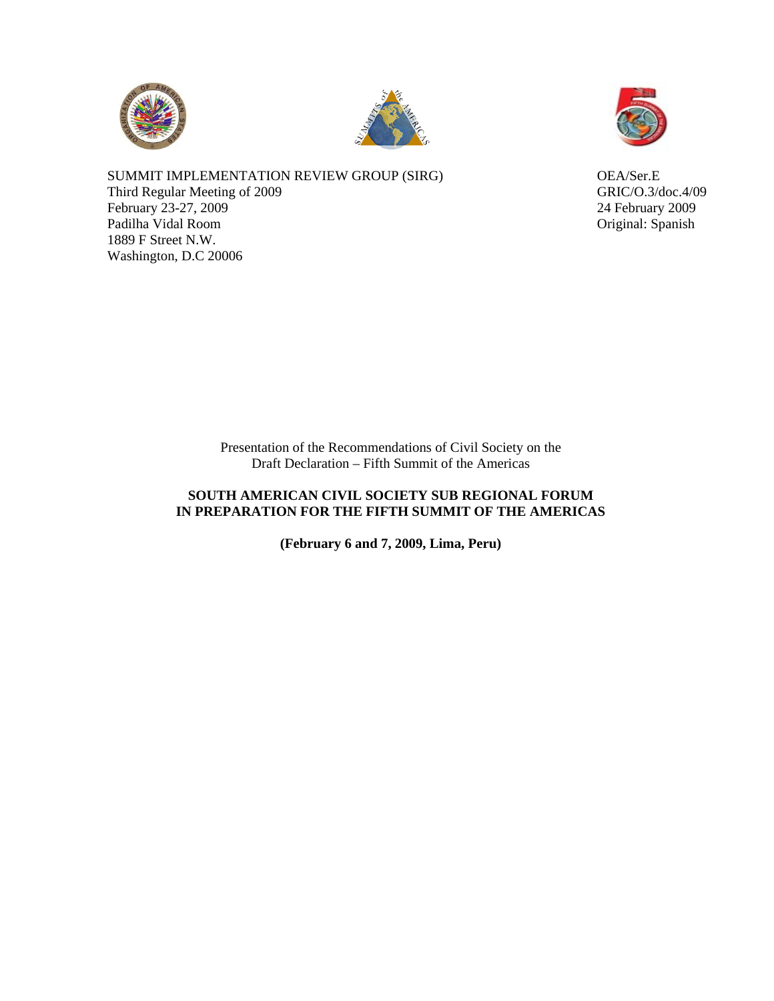





SUMMIT IMPLEMENTATION REVIEW GROUP (SIRG) OEA/Ser.E Third Regular Meeting of 2009 GRIC/O.3/doc.4/09 February 23-27, 2009 Padilha Vidal Room Original: Spanish 1889 F Street N.W. Washington, D.C 20006

Presentation of the Recommendations of Civil Society on the Draft Declaration – Fifth Summit of the Americas

# **SOUTH AMERICAN CIVIL SOCIETY SUB REGIONAL FORUM IN PREPARATION FOR THE FIFTH SUMMIT OF THE AMERICAS**

**(February 6 and 7, 2009, Lima, Peru)**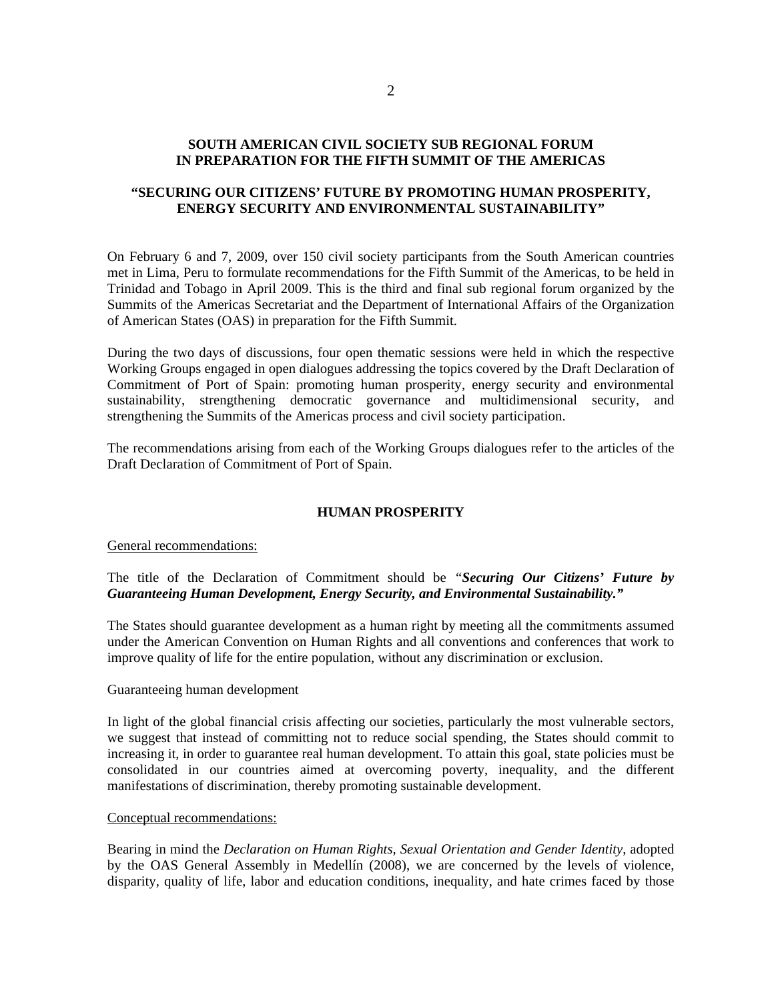### **SOUTH AMERICAN CIVIL SOCIETY SUB REGIONAL FORUM IN PREPARATION FOR THE FIFTH SUMMIT OF THE AMERICAS**

## **"SECURING OUR CITIZENS' FUTURE BY PROMOTING HUMAN PROSPERITY, ENERGY SECURITY AND ENVIRONMENTAL SUSTAINABILITY"**

On February 6 and 7, 2009, over 150 civil society participants from the South American countries met in Lima, Peru to formulate recommendations for the Fifth Summit of the Americas, to be held in Trinidad and Tobago in April 2009. This is the third and final sub regional forum organized by the Summits of the Americas Secretariat and the Department of International Affairs of the Organization of American States (OAS) in preparation for the Fifth Summit.

During the two days of discussions, four open thematic sessions were held in which the respective Working Groups engaged in open dialogues addressing the topics covered by the Draft Declaration of Commitment of Port of Spain: promoting human prosperity, energy security and environmental sustainability, strengthening democratic governance and multidimensional security, and strengthening the Summits of the Americas process and civil society participation.

The recommendations arising from each of the Working Groups dialogues refer to the articles of the Draft Declaration of Commitment of Port of Spain.

#### **HUMAN PROSPERITY**

#### General recommendations:

The title of the Declaration of Commitment should be *"Securing Our Citizens' Future by Guaranteeing Human Development, Energy Security, and Environmental Sustainability."* 

The States should guarantee development as a human right by meeting all the commitments assumed under the American Convention on Human Rights and all conventions and conferences that work to improve quality of life for the entire population, without any discrimination or exclusion.

#### Guaranteeing human development

In light of the global financial crisis affecting our societies, particularly the most vulnerable sectors, we suggest that instead of committing not to reduce social spending, the States should commit to increasing it, in order to guarantee real human development. To attain this goal, state policies must be consolidated in our countries aimed at overcoming poverty, inequality, and the different manifestations of discrimination, thereby promoting sustainable development.

#### Conceptual recommendations:

Bearing in mind the *Declaration on Human Rights, Sexual Orientation and Gender Identity*, adopted by the OAS General Assembly in Medellín (2008), we are concerned by the levels of violence, disparity, quality of life, labor and education conditions, inequality, and hate crimes faced by those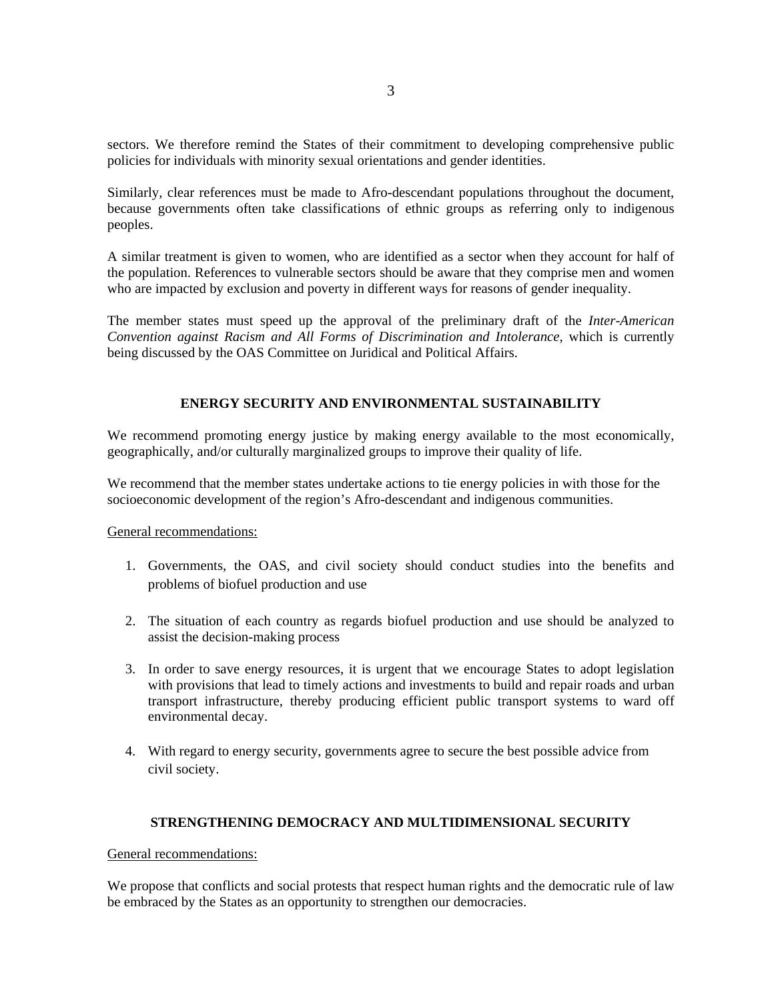sectors. We therefore remind the States of their commitment to developing comprehensive public policies for individuals with minority sexual orientations and gender identities.

Similarly, clear references must be made to Afro-descendant populations throughout the document, because governments often take classifications of ethnic groups as referring only to indigenous peoples.

A similar treatment is given to women, who are identified as a sector when they account for half of the population. References to vulnerable sectors should be aware that they comprise men and women who are impacted by exclusion and poverty in different ways for reasons of gender inequality.

The member states must speed up the approval of the preliminary draft of the *Inter-American Convention against Racism and All Forms of Discrimination and Intolerance,* which is currently being discussed by the OAS Committee on Juridical and Political Affairs.

## **ENERGY SECURITY AND ENVIRONMENTAL SUSTAINABILITY**

We recommend promoting energy justice by making energy available to the most economically, geographically, and/or culturally marginalized groups to improve their quality of life.

We recommend that the member states undertake actions to tie energy policies in with those for the socioeconomic development of the region's Afro-descendant and indigenous communities.

General recommendations:

- 1. Governments, the OAS, and civil society should conduct studies into the benefits and problems of biofuel production and use
- 2. The situation of each country as regards biofuel production and use should be analyzed to assist the decision-making process
- 3. In order to save energy resources, it is urgent that we encourage States to adopt legislation with provisions that lead to timely actions and investments to build and repair roads and urban transport infrastructure, thereby producing efficient public transport systems to ward off environmental decay.
- 4. With regard to energy security, governments agree to secure the best possible advice from civil society.

#### **STRENGTHENING DEMOCRACY AND MULTIDIMENSIONAL SECURITY**

General recommendations:

We propose that conflicts and social protests that respect human rights and the democratic rule of law be embraced by the States as an opportunity to strengthen our democracies.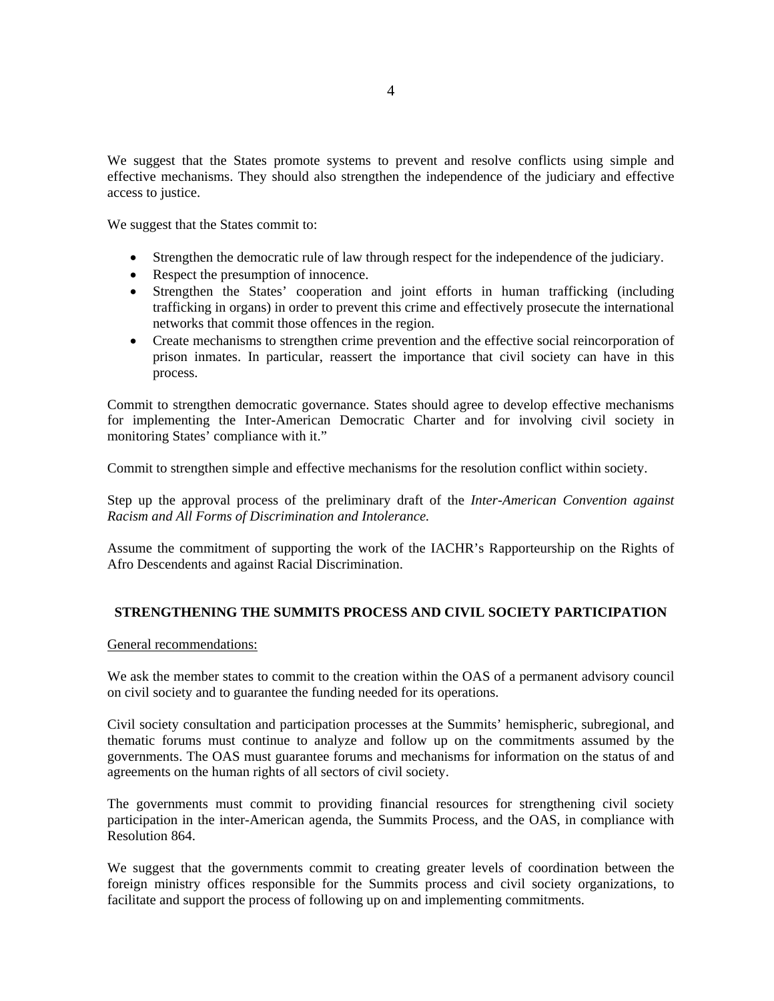We suggest that the States promote systems to prevent and resolve conflicts using simple and effective mechanisms. They should also strengthen the independence of the judiciary and effective access to justice.

We suggest that the States commit to:

- Strengthen the democratic rule of law through respect for the independence of the judiciary.
- Respect the presumption of innocence.
- Strengthen the States' cooperation and joint efforts in human trafficking (including trafficking in organs) in order to prevent this crime and effectively prosecute the international networks that commit those offences in the region.
- Create mechanisms to strengthen crime prevention and the effective social reincorporation of prison inmates. In particular, reassert the importance that civil society can have in this process.

Commit to strengthen democratic governance. States should agree to develop effective mechanisms for implementing the Inter-American Democratic Charter and for involving civil society in monitoring States' compliance with it."

Commit to strengthen simple and effective mechanisms for the resolution conflict within society.

Step up the approval process of the preliminary draft of the *Inter-American Convention against Racism and All Forms of Discrimination and Intolerance.* 

Assume the commitment of supporting the work of the IACHR's Rapporteurship on the Rights of Afro Descendents and against Racial Discrimination.

### **STRENGTHENING THE SUMMITS PROCESS AND CIVIL SOCIETY PARTICIPATION**

#### General recommendations:

We ask the member states to commit to the creation within the OAS of a permanent advisory council on civil society and to guarantee the funding needed for its operations.

Civil society consultation and participation processes at the Summits' hemispheric, subregional, and thematic forums must continue to analyze and follow up on the commitments assumed by the governments. The OAS must guarantee forums and mechanisms for information on the status of and agreements on the human rights of all sectors of civil society.

The governments must commit to providing financial resources for strengthening civil society participation in the inter-American agenda, the Summits Process, and the OAS, in compliance with Resolution 864.

We suggest that the governments commit to creating greater levels of coordination between the foreign ministry offices responsible for the Summits process and civil society organizations, to facilitate and support the process of following up on and implementing commitments.